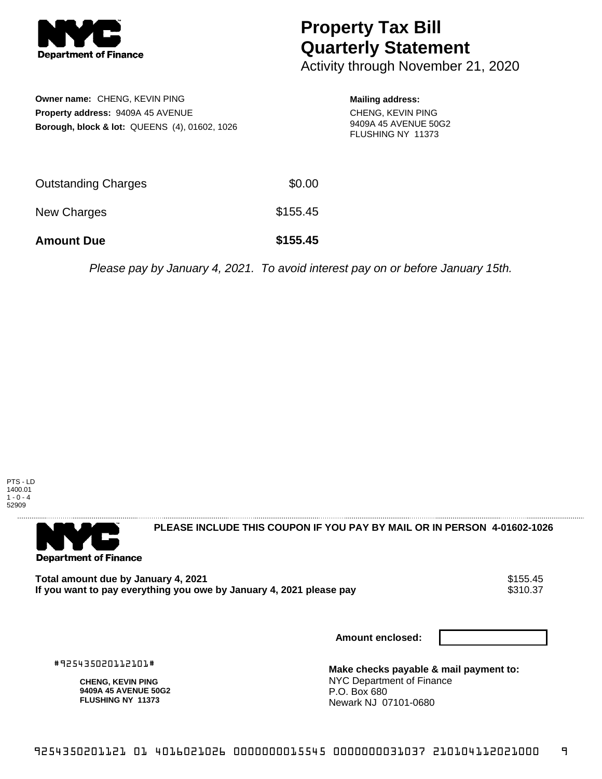

## **Property Tax Bill Quarterly Statement**

Activity through November 21, 2020

| Owner name: CHENG, KEVIN PING                            |        | <b>Mailing address:</b>                   |
|----------------------------------------------------------|--------|-------------------------------------------|
| <b>Property address: 9409A 45 AVENUE</b>                 |        | <b>CHENG, KEVIN PING</b>                  |
| <b>Borough, block &amp; lot: QUEENS (4), 01602, 1026</b> |        | 9409A 45 AVENUE 50G2<br>FLUSHING NY 11373 |
| <b>Outstanding Charges</b>                               | \$0.00 |                                           |

New Charges **\$155.45** 

**Amount Due \$155.45**

Please pay by January 4, 2021. To avoid interest pay on or before January 15th.



. . . . . . . . . . . . . . . .

**Department of Finance** 

**PLEASE INCLUDE THIS COUPON IF YOU PAY BY MAIL OR IN PERSON 4-01602-1026** 

Total amount due by January 4, 2021<br>If you want to pay everything you owe by January 4, 2021 please pay **show that we have also write the system** \$310.37 If you want to pay everything you owe by January 4, 2021 please pay

**Amount enclosed:**

#925435020112101#

**CHENG, KEVIN PING 9409A 45 AVENUE 50G2 FLUSHING NY 11373**

**Make checks payable & mail payment to:** NYC Department of Finance P.O. Box 680 Newark NJ 07101-0680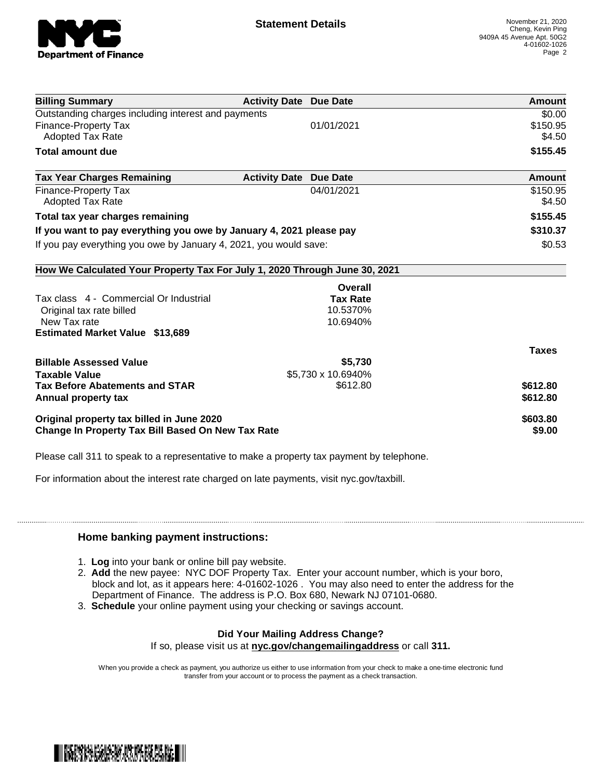

| \$0.00       |
|--------------|
| \$150.95     |
| \$4.50       |
| \$155.45     |
| Amount       |
| \$150.95     |
| \$4.50       |
| \$155.45     |
| \$310.37     |
| \$0.53       |
|              |
|              |
|              |
|              |
|              |
|              |
| <b>Taxes</b> |
|              |
|              |
| \$612.80     |
| \$612.80     |
|              |
| \$603.80     |
|              |

Please call 311 to speak to a representative to make a property tax payment by telephone.

For information about the interest rate charged on late payments, visit nyc.gov/taxbill.

## **Home banking payment instructions:**

- 1. **Log** into your bank or online bill pay website.
- 2. **Add** the new payee: NYC DOF Property Tax. Enter your account number, which is your boro, block and lot, as it appears here: 4-01602-1026 . You may also need to enter the address for the Department of Finance. The address is P.O. Box 680, Newark NJ 07101-0680.
- 3. **Schedule** your online payment using your checking or savings account.

## **Did Your Mailing Address Change?**

If so, please visit us at **nyc.gov/changemailingaddress** or call **311.**

When you provide a check as payment, you authorize us either to use information from your check to make a one-time electronic fund transfer from your account or to process the payment as a check transaction.